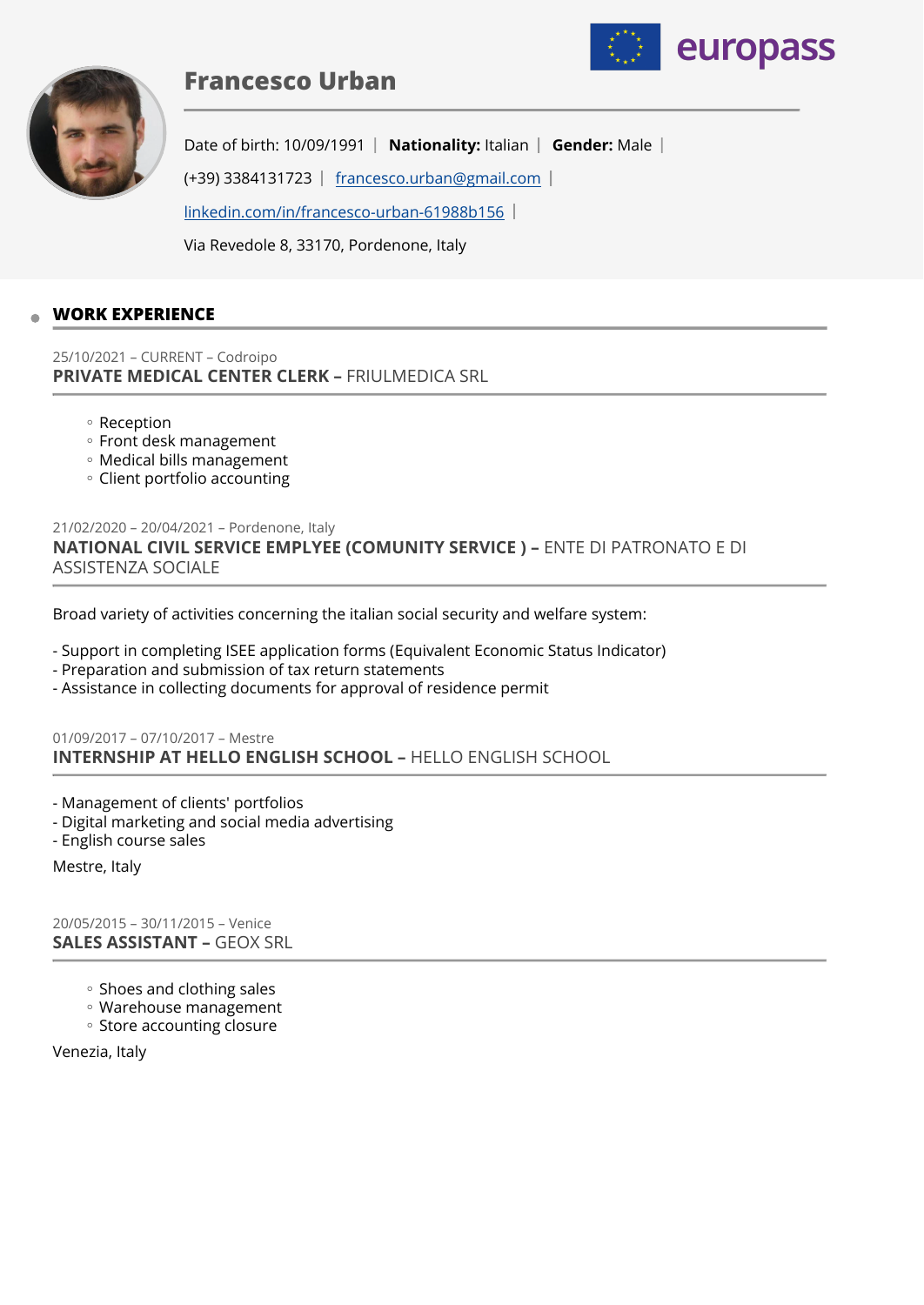

# **Francesco Urban**



Date of birth: 10/09/1991 | Nationality: Italian | Gender: Male |

(+39) 3384131723  $\mid$  [francesco.urban@gmail.com](mailto:francesco.urban@gmail.com)  $\mid$ 

[linkedin.com/in/francesco-urban-61988b156](http://linkedin.com/in/francesco-urban-61988b156) 

Via Revedole 8, 33170, Pordenone, Italy

## **WORK EXPERIENCE**

25/10/2021 – CURRENT – Codroipo **PRIVATE MEDICAL CENTER CLERK –** FRIULMEDICA SRL

- Reception ◦
- Front desk management
- Medical bills management ◦
- Client portfolio accounting ◦

21/02/2020 – 20/04/2021 – Pordenone, Italy **NATIONAL CIVIL SERVICE EMPLYEE (COMUNITY SERVICE ) –** ENTE DI PATRONATO E DI ASSISTENZA SOCIALE

Broad variety of activities concerning the italian social security and welfare system:

- Support in completing ISEE application forms (Equivalent Economic Status Indicator)
- Preparation and submission of tax return statements
- Assistance in collecting documents for approval of residence permit

01/09/2017 – 07/10/2017 – Mestre **INTERNSHIP AT HELLO ENGLISH SCHOOL –** HELLO ENGLISH SCHOOL

- Management of clients' portfolios
- Digital marketing and social media advertising
- English course sales

Mestre, Italy

20/05/2015 – 30/11/2015 – Venice **SALES ASSISTANT –** GEOX SRL

- Shoes and clothing sales
- Warehouse management ◦
- Store accounting closure

Venezia, Italy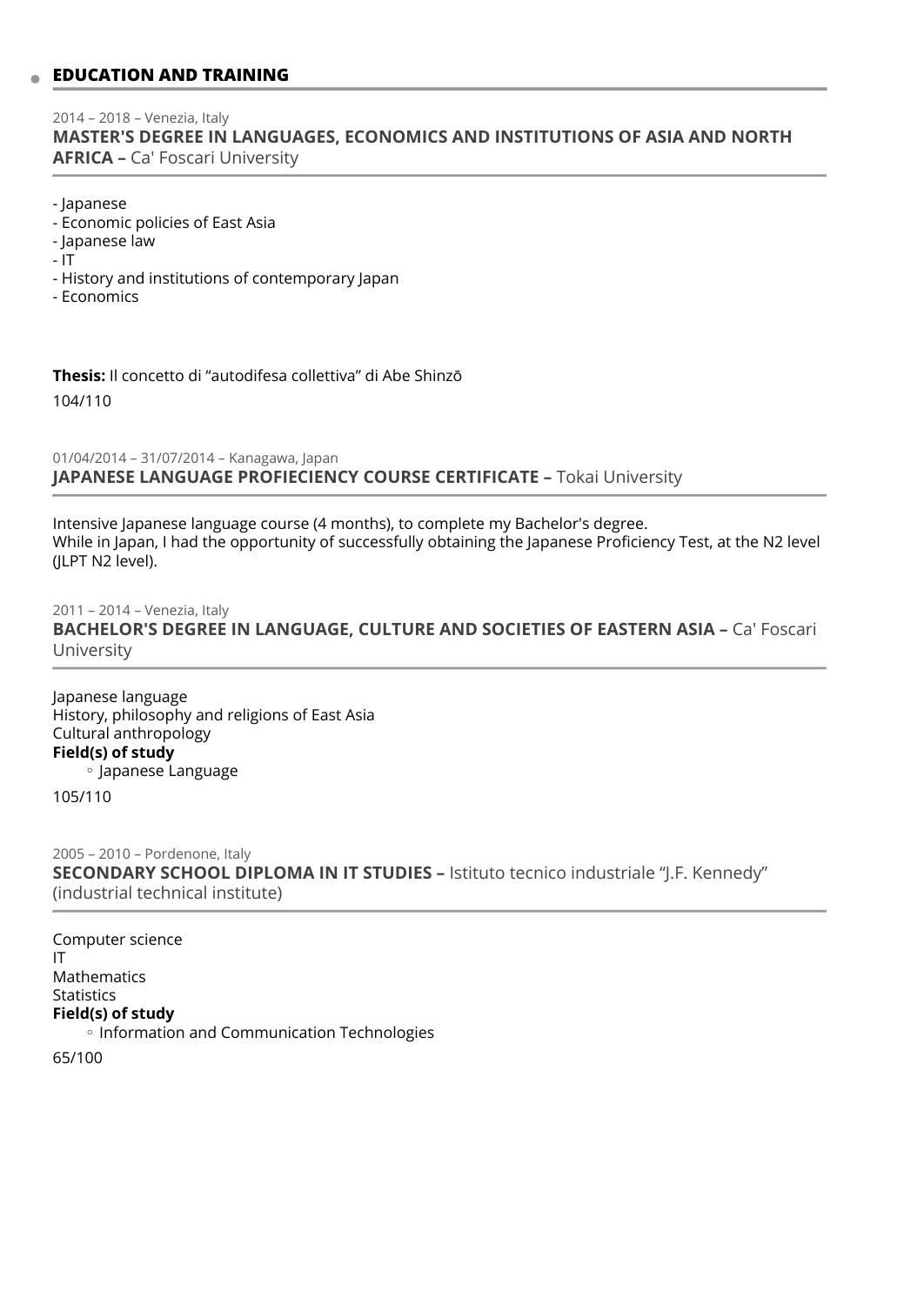# **EDUCATION AND TRAINING**

#### 2014 – 2018 – Venezia, Italy **MASTER'S DEGREE IN LANGUAGES, ECONOMICS AND INSTITUTIONS OF ASIA AND NORTH AFRICA –** Ca' Foscari University

- Japanese

- Economic policies of East Asia
- Japanese law
- IT
- History and institutions of contemporary Japan
- Economics

**Thesis:** Il concetto di "autodifesa collettiva" di Abe Shinzō

104/110

01/04/2014 – 31/07/2014 – Kanagawa, Japan **JAPANESE LANGUAGE PROFIECIENCY COURSE CERTIFICATE –** Tokai University

Intensive Japanese language course (4 months), to complete my Bachelor's degree. While in Japan, I had the opportunity of successfully obtaining the Japanese Proficiency Test, at the N2 level (JLPT N2 level).

2011 – 2014 – Venezia, Italy **BACHELOR'S DEGREE IN LANGUAGE, CULTURE AND SOCIETIES OF EASTERN ASIA - Ca' Foscari** University

Japanese language History, philosophy and religions of East Asia Cultural anthropology **Field(s) of study** Japanese Language ◦

105/110

2005 – 2010 – Pordenone, Italy **SECONDARY SCHOOL DIPLOMA IN IT STUDIES –** Istituto tecnico industriale "J.F. Kennedy" (industrial technical institute)

Computer science IT Mathematics Statistics **Field(s) of study** ◦ Information and Communication Technologies

65/100